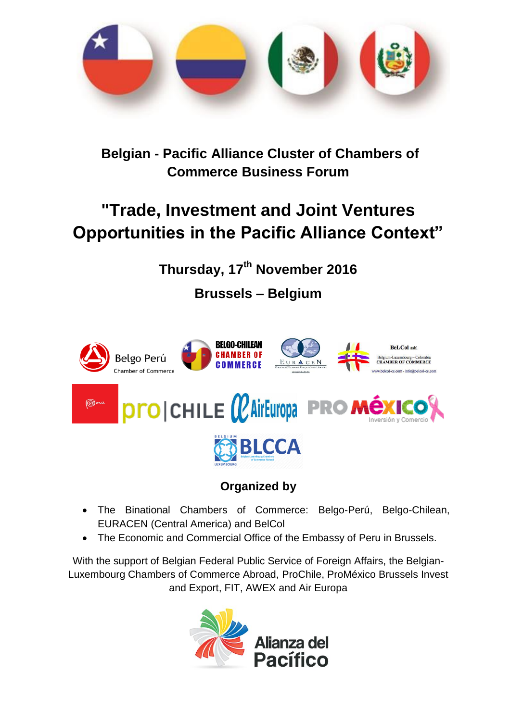

**Belgian - Pacific Alliance Cluster of Chambers of Commerce Business Forum** 

## **"Trade, Investment and Joint Ventures Opportunities in the Pacific Alliance Context"**

**Thursday, 17th November 2016**

**Brussels – Belgium**



### **Organized by**

- The Binational Chambers of Commerce: Belgo-Perú, Belgo-Chilean, EURACEN (Central America) and BelCol
- The Economic and Commercial Office of the Embassy of Peru in Brussels.

With the support of Belgian Federal Public Service of Foreign Affairs, the Belgian-Luxembourg Chambers of Commerce Abroad, ProChile, ProMéxico Brussels Invest and Export, FIT, AWEX and Air Europa

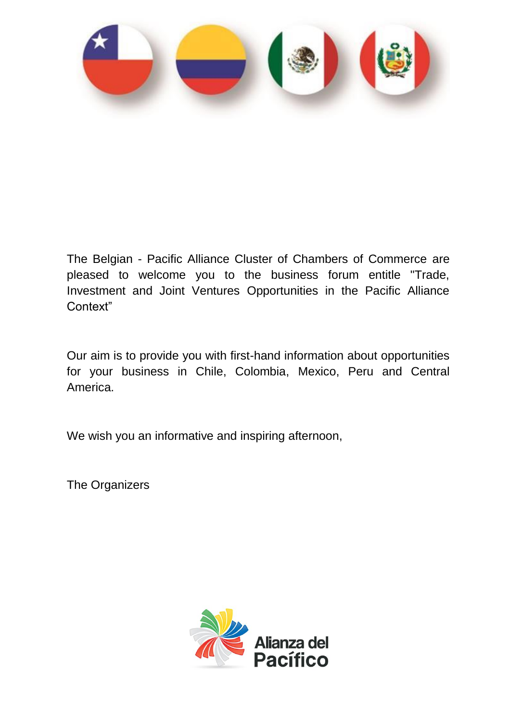

The Belgian - Pacific Alliance Cluster of Chambers of Commerce are pleased to welcome you to the business forum entitle "Trade, Investment and Joint Ventures Opportunities in the Pacific Alliance Context"

Our aim is to provide you with first-hand information about opportunities for your business in Chile, Colombia, Mexico, Peru and Central America.

We wish you an informative and inspiring afternoon,

The Organizers

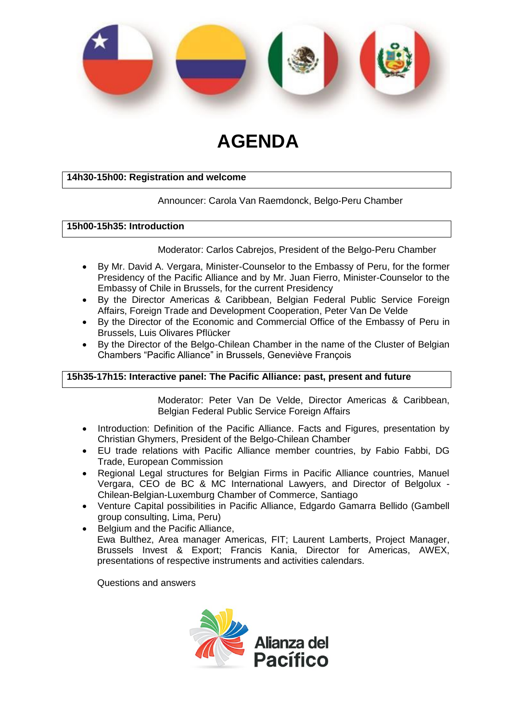

# **AGENDA**

#### **14h30-15h00: Registration and welcome**

#### Announcer: Carola Van Raemdonck, Belgo-Peru Chamber

#### **15h00-15h35: Introduction**

#### Moderator: Carlos Cabrejos, President of the Belgo-Peru Chamber

- By Mr. David A. Vergara, Minister-Counselor to the Embassy of Peru, for the former Presidency of the Pacific Alliance and by Mr. Juan Fierro, Minister-Counselor to the Embassy of Chile in Brussels, for the current Presidency
- By the Director Americas & Caribbean, Belgian Federal Public Service Foreign Affairs, Foreign Trade and Development Cooperation, Peter Van De Velde
- By the Director of the Economic and Commercial Office of the Embassy of Peru in Brussels, Luis Olivares Pflücker
- By the Director of the Belgo-Chilean Chamber in the name of the Cluster of Belgian Chambers "Pacific Alliance" in Brussels, Geneviève François

#### **15h35-17h15: Interactive panel: The Pacific Alliance: past, present and future**

Moderator: Peter Van De Velde, Director Americas & Caribbean, Belgian Federal Public Service Foreign Affairs

- Introduction: Definition of the Pacific Alliance. Facts and Figures, presentation by Christian Ghymers, President of the Belgo-Chilean Chamber
- EU trade relations with Pacific Alliance member countries, by Fabio Fabbi, DG Trade, European Commission
- Regional Legal structures for Belgian Firms in Pacific Alliance countries, Manuel Vergara, CEO de BC & MC International Lawyers, and Director of Belgolux - Chilean-Belgian-Luxemburg Chamber of Commerce, Santiago
- Venture Capital possibilities in Pacific Alliance, Edgardo Gamarra Bellido (Gambell group consulting, Lima, Peru)
- Belgium and the Pacific Alliance, Ewa Bulthez, Area manager Americas, FIT; Laurent Lamberts, Project Manager, Brussels Invest & Export; Francis Kania, Director for Americas, AWEX, presentations of respective instruments and activities calendars.

Questions and answers